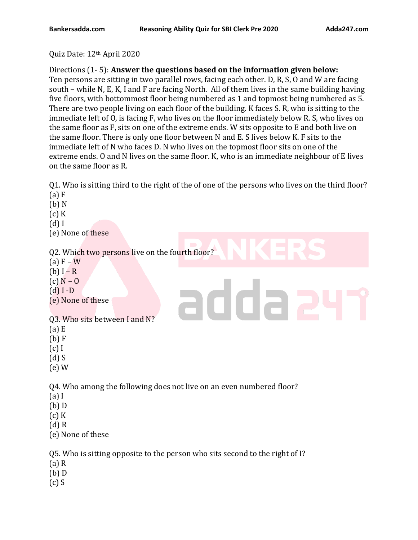Quiz Date: 12th April 2020

## Directions (1- 5): **Answer the questions based on the information given below:**

Ten persons are sitting in two parallel rows, facing each other. D, R, S, O and W are facing south – while N, E, K, I and F are facing North. All of them lives in the same building having five floors, with bottommost floor being numbered as 1 and topmost being numbered as 5. There are two people living on each floor of the building. K faces S. R, who is sitting to the immediate left of O, is facing F, who lives on the floor immediately below R. S, who lives on the same floor as F, sits on one of the extreme ends. W sits opposite to E and both live on the same floor. There is only one floor between N and E. S lives below K. F sits to the immediate left of N who faces D. N who lives on the topmost floor sits on one of the extreme ends. O and N lives on the same floor. K, who is an immediate neighbour of E lives on the same floor as R.

Q1. Who is sitting third to the right of the of one of the persons who lives on the third floor? (a) F

- (b) N (c) K (d) I (e) None of these Q2. Which two persons live on the fourth floor?  $(a) F - W$ (b)  $I - R$  $(c)$  N – O adda: (d) I -D (e) None of these Q3. Who sits between I and N? (a) E (b) F (c) I (d) S (e) W Q4. Who among the following does not live on an even numbered floor? (a) I (b) D  $(c)$  K (d) R (e) None of these Q5. Who is sitting opposite to the person who sits second to the right of I? (a) R (b) D
- (c) S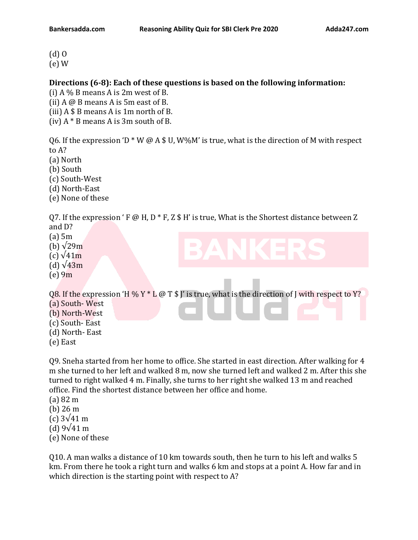(d) O (e) W

### **Directions (6-8): Each of these questions is based on the following information:**

(i)  $A\%$  B means A is 2m west of B.

(ii) A @ B means A is 5m east of B.

(iii)  $A $ B$  means A is 1m north of B.

(iv)  $A * B$  means A is 3m south of B.

Q6. If the expression 'D  $*$  W @ A \$ U, W%M' is true, what is the direction of M with respect to A?

(a) North

(b) South

(c) South-West

(d) North-East

(e) None of these

Q7. If the expression ' F @ H, D  $*$  F, Z  $*$  H' is true, What is the Shortest distance between Z and D?

(a) 5m

(b)  $\sqrt{29m}$ 

 $(c)$   $\sqrt{41m}$ 

(d)  $\sqrt{43m}$ 

 $(e)$  9m

Q8. If the expression 'H % Y  $*$  L @ T \$ J' is true, what is the direction of J with respect to Y?

(a) South- West

(b) North-West

- (c) South- East
- (d) North- East
- (e) East

Q9. Sneha started from her home to office. She started in east direction. After walking for 4 m she turned to her left and walked 8 m, now she turned left and walked 2 m. After this she turned to right walked 4 m. Finally, she turns to her right she walked 13 m and reached office. Find the shortest distance between her office and home.

(a) 82 m

(b) 26 m

(c) 3√41 m

(d) 9√41 m

(e) None of these

Q10. A man walks a distance of 10 km towards south, then he turn to his left and walks 5 km. From there he took a right turn and walks 6 km and stops at a point A. How far and in which direction is the starting point with respect to A?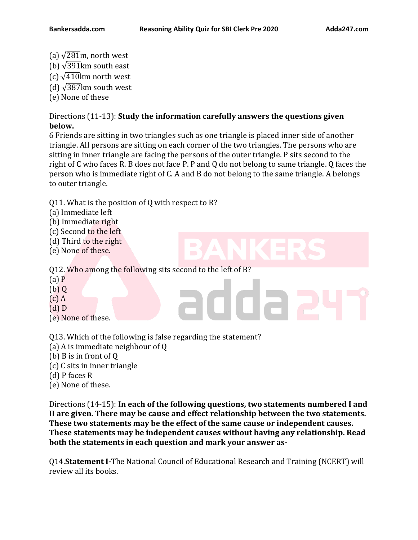- (a)  $\sqrt{281}$ m, north west
- (b)  $\sqrt{391}$ km south east
- (c)  $\sqrt{410}$ km north west
- (d)  $\sqrt{387}$ km south west
- (e) None of these

## Directions (11-13): **Study the information carefully answers the questions given below.**

6 Friends are sitting in two triangles such as one triangle is placed inner side of another triangle. All persons are sitting on each corner of the two triangles. The persons who are sitting in inner triangle are facing the persons of the outer triangle. P sits second to the right of C who faces R. B does not face P. P and Q do not belong to same triangle. Q faces the person who is immediate right of C. A and B do not belong to the same triangle. A belongs to outer triangle.

Q11. What is the position of Q with respect to R?

- (a) Immediate left
- (b) Immediate right
- (c) Second to the left
- (d) Third to the right
- (e) None of these.

Q12. Who among the following sits second to the left of B?

- (a) P
- $(b)$  Q
- $(c)$  A
- (d) D
- (e) None of these.
- Q13. Which of the following is false regarding the statement?
- (a) A is immediate neighbour of Q
- (b) B is in front of Q
- (c) C sits in inner triangle
- (d) P faces R
- (e) None of these.

Directions (14-15): **In each of the following questions, two statements numbered I and II are given. There may be cause and effect relationship between the two statements. These two statements may be the effect of the same cause or independent causes. These statements may be independent causes without having any relationship. Read both the statements in each question and mark your answer as-**

Q14.**Statement I-**The National Council of Educational Research and Training (NCERT) will review all its books.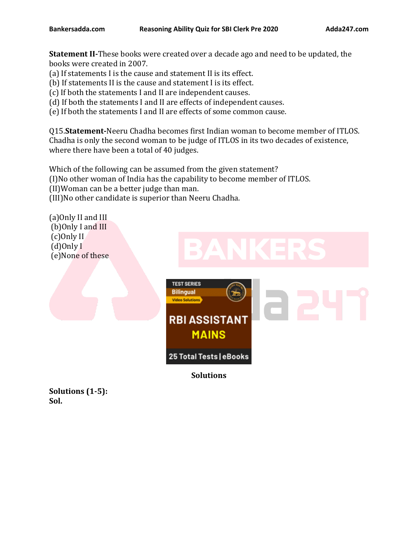**Statement II-**These books were created over a decade ago and need to be updated, the books were created in 2007.

- (a) If statements I is the cause and statement II is its effect.
- (b) If statements II is the cause and statement I is its effect.
- (c) If both the statements I and II are independent causes.
- (d) If both the statements I and II are effects of independent causes.
- (e) If both the statements I and II are effects of some common cause.

Q15.**Statement-**Neeru Chadha becomes first Indian woman to become member of ITLOS. Chadha is only the second woman to be judge of ITLOS in its two decades of existence, where there have been a total of 40 judges.

Which of the following can be assumed from the given statement? (I)No other woman of India has the capability to become member of ITLOS. (II)Woman can be a better judge than man. (III)No other candidate is superior than Neeru Chadha.

(a)Only II and III (b)Only I and III (c)Only II (d)Only I (e)None of these



**Solutions**

**Solutions (1-5): Sol.**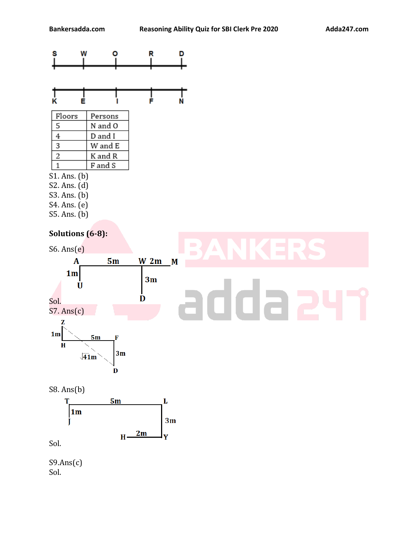



| Persons |
|---------|
| N and O |
| D and I |
| W and E |
| K and R |
| F and S |
|         |

- S1. Ans. (b)
- S2. Ans. (d)
- S3. Ans. (b)
- S4. Ans. (e)
- S5. Ans. (b)

# **Solutions (6-8):**





Sol.

 $S9.Ans(c)$ Sol.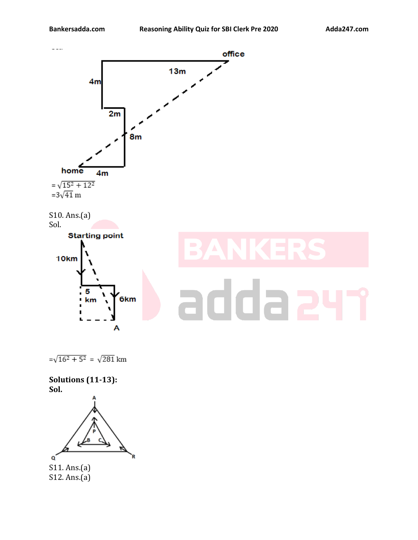

 $=\sqrt{16^2+5^2} = \sqrt{281}$ km

**Solutions (11-13): Sol.**



S12. Ans.(a)